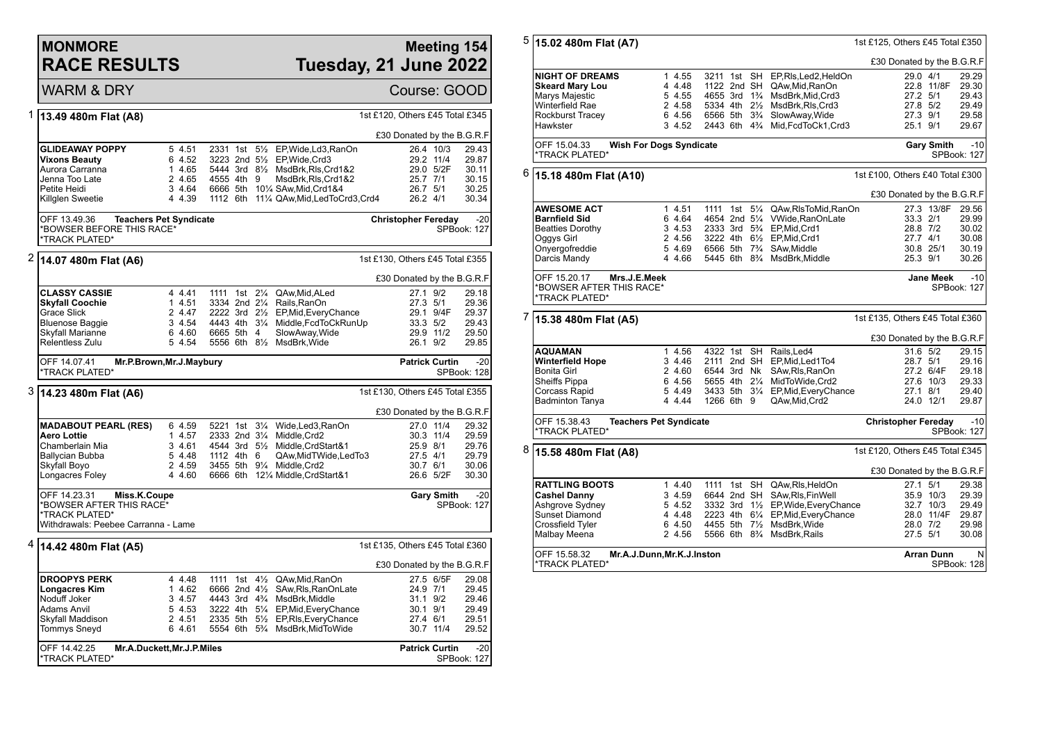### **MONMORE RACE RESULTS**

# **Meeting 154 Tuesday, 21 June 2022**

WARM & DRY **Course: GOOD** 

\*TRACK PLATED\*

SPBook: 127

| 1 | 13.49 480m Flat (A8)                                                       |                               |                           |  |                                                                                | 1st £120, Others £45 Total £345 |                        |                      |
|---|----------------------------------------------------------------------------|-------------------------------|---------------------------|--|--------------------------------------------------------------------------------|---------------------------------|------------------------|----------------------|
|   |                                                                            |                               |                           |  |                                                                                | £30 Donated by the B.G.R.F      |                        |                      |
|   | GLIDEAWAY POPPY<br><b>Vixons Beauty</b>                                    | 5 4.51<br>6 4.52              |                           |  | 2331 1st 5 <sup>1/2</sup> EP, Wide, Ld3, RanOn<br>3223 2nd 51/2 EP, Wide, Crd3 |                                 | 26.4 10/3<br>29.2 11/4 | 29.43<br>29.87       |
|   | Aurora Carranna                                                            | 1 4.65                        |                           |  | 5444 3rd 81/2 MsdBrk, RIs, Crd1&2                                              |                                 | 29.0 5/2F              | 30.11                |
|   | Jenna Too Late                                                             | 2 4.65                        | 4555 4th 9                |  | MsdBrk, RIs, Crd1&2                                                            | 25.7 7/1                        |                        | 30.15                |
|   |                                                                            | 3 4.64                        |                           |  |                                                                                | 26.7 5/1                        |                        | 30.25                |
|   | Petite Heidi                                                               |                               |                           |  | 6666 5th 101/4 SAw, Mid, Crd1&4                                                |                                 |                        |                      |
|   | Killglen Sweetie                                                           | 4 4.39                        |                           |  | 1112 6th 111/4 QAw, Mid, Led To Crd3, Crd4                                     | 26.2 4/1                        |                        | 30.34                |
|   | OFF 13.49.36                                                               | <b>Teachers Pet Syndicate</b> |                           |  |                                                                                | <b>Christopher Fereday</b>      |                        | $-20$                |
|   | *BOWSER BEFORE THIS RACE*<br>*TRACK PLATED*                                |                               |                           |  |                                                                                |                                 |                        | SPBook: 127          |
|   |                                                                            |                               |                           |  |                                                                                |                                 |                        |                      |
| 2 | 14.07 480m Flat (A6)                                                       |                               |                           |  |                                                                                | 1st £130, Others £45 Total £355 |                        |                      |
|   |                                                                            |                               |                           |  |                                                                                | £30 Donated by the B.G.R.F      |                        |                      |
|   | <b>CLASSY CASSIE</b>                                                       | 4 4.41                        | 1111 1st 21/ <sub>4</sub> |  | QAw, Mid, ALed                                                                 | 27.1 9/2                        |                        | 29.18                |
|   | <b>Skyfall Coochie</b>                                                     | 1 4.51                        | 3334 2nd 21/4             |  | Rails, RanOn                                                                   | 27.3 5/1                        |                        | 29.36                |
|   | <b>Grace Slick</b>                                                         | 2 4.47                        | 2222 3rd 21/2             |  | EP, Mid, Every Chance                                                          |                                 | 29.1 9/4F              | 29.37                |
|   | <b>Bluenose Baggie</b>                                                     | 3 4.54                        |                           |  | 4443 4th 31/4 Middle, FcdToCkRunUp                                             | 33.3 5/2                        |                        | 29.43                |
|   | Skyfall Marianne                                                           | 6 4.60                        | 6665 5th 4                |  | SlowAway, Wide                                                                 |                                 | 29.9 11/2              | 29.50                |
|   | Relentless Zulu                                                            | 5 4.54                        |                           |  | 5556 6th 81/2 MsdBrk, Wide                                                     | 26.1 9/2                        |                        | 29.85                |
|   | OFF 14.07.41<br>*TRACK PLATED*                                             | Mr.P.Brown, Mr.J. Maybury     |                           |  |                                                                                |                                 | <b>Patrick Curtin</b>  | $-20$<br>SPBook: 128 |
|   |                                                                            |                               |                           |  |                                                                                |                                 |                        |                      |
|   | 3  14.23 480m Flat (A6)                                                    |                               |                           |  |                                                                                | 1st £130, Others £45 Total £355 |                        |                      |
|   |                                                                            |                               |                           |  |                                                                                | £30 Donated by the B.G.R.F      |                        |                      |
|   | <b>MADABOUT PEARL (RES)</b>                                                | 6 4.59                        |                           |  | 5221 1st 31/4 Wide, Led 3, RanOn                                               |                                 | 27.0 11/4              | 29.32                |
|   |                                                                            |                               |                           |  | Middle, Crd2                                                                   |                                 |                        |                      |
|   | Aero Lottie                                                                | 1 4.57                        | 2333 2nd 31/4             |  |                                                                                |                                 | 30.3 11/4              | 29.59                |
|   | Chamberlain Mia                                                            | 3 4.61                        |                           |  | 4544 3rd 51/2 Middle, CrdStart&1                                               | 25.9 8/1                        |                        | 29.76                |
|   | Ballycian Bubba                                                            | 5 4.48                        | 1112 4th 6                |  | QAw, Mid TWide, Led To 3                                                       | 27.5 4/1                        |                        | 29.79                |
|   | Skyfall Boyo                                                               | 2 4.59                        |                           |  | 3455 5th 91/4 Middle, Crd2                                                     | 30.7 6/1                        |                        | 30.06                |
|   | Longacres Foley                                                            | 4 4.60                        |                           |  | 6666 6th 121/4 Middle, CrdStart&1                                              |                                 | 26.6 5/2F              | 30.30                |
|   | OFF 14.23.31<br>Miss.K.Coupe<br>*BOWSER AFTER THIS RACE*<br>*TRACK PLATED* |                               |                           |  |                                                                                |                                 | <b>Gary Smith</b>      | $-20$<br>SPBook: 127 |
|   | Withdrawals: Peebee Carranna - Lame                                        |                               |                           |  |                                                                                |                                 |                        |                      |
|   | <sup>4</sup>  14.42 480m Flat (A5)                                         |                               |                           |  |                                                                                | 1st £135, Others £45 Total £360 |                        |                      |
|   |                                                                            |                               |                           |  |                                                                                | £30 Donated by the B.G.R.F      |                        |                      |
|   |                                                                            |                               |                           |  |                                                                                |                                 |                        |                      |
|   | <b>DROOPYS PERK</b>                                                        | 4 4.48                        |                           |  | 1111 1st 41/2 QAw, Mid, RanOn                                                  |                                 | 27.5 6/5F              | 29.08                |
|   | <b>Longacres Kim</b>                                                       | 1 4.62                        | 6666 2nd 4½               |  | SAw, RIs, RanOnLate                                                            | 24.9 7/1                        |                        | 29.45                |
|   | Noduff Joker                                                               | 3 4.57                        |                           |  | 4443 3rd 4 <sup>3</sup> / <sub>4</sub> MsdBrk, Middle                          | 31.1 9/2                        |                        | 29.46                |
|   | <b>Adams Anvil</b>                                                         | 5 4.53                        |                           |  | 3222 4th 51/4 EP, Mid, Every Chance                                            | 30.1 9/1                        |                        | 29.49                |
|   | Skyfall Maddison                                                           | 2 4.51                        |                           |  | 2335 5th 51/ <sub>2</sub> EP, RIs, Every Chance                                | 27.4 6/1                        |                        | 29.51                |
|   | <b>Tommys Sneyd</b>                                                        | 6 4.61                        |                           |  | 5554 6th 5% MsdBrk, MidToWide                                                  |                                 | 30.7 11/4              | 29.52                |

5 **15.02 480m Flat (A7)** 1st £125, Others £45 Total £350 £30 Donated by the B.G.R.F **NIGHT OF DREAMS** 1 4.55 3211 1st SH EP,RIs,Led2,HeldOn 29.0 4/1 29.29<br> **Skeard Mary Lou** 4 4.48 1122 2nd SH QAw.Mid.RanOn 22.8 11/8F 29.30 **Skeard Mary Lou 4 4.48 1122 2nd SH QAw,Mid,RanOn 32.8 11/8**<br>Marys Maiestic **19th** 4 4.48 55 4655 3rd 1<sup>3</sup>/4 MsdBrk.Mid.Crd3 27.2 5/1 Marys Majestic 5 4.55 4655 3rd 1¾ MsdBrk,Mid,Crd3 27.2 5/1 29.43 Winterfield Rae 2 4.58 5334 4th 2½ MsdBrk,Rls,Crd3 27.8 5/2 29.49 Rockburst Tracey 6 4.56 6566 5th 3<sup>3</sup>/4 SlowAway, Wide 27.3 9/1 27.3 9/1 29.58 9/1 29.58 9/1 29.58 9/1 20.588 PM Hawkster 3 4.52 2443 6th 4¾ Mid,FcdToCk1,Crd3 25.1 9/1 29.67 OFF 15.04.33 **Wish For Dogs Syndicate** \*TRACK PLATED\* **Gary Smith** -10 SPBook: 127 6 **15.18 480m Flat (A10)** 1st £100, Others £40 Total £300 £30 Donated by the B.G.R.F **AWESOME ACT** 1 4.51 1111 1st 5<sup>1</sup>/<sub>4</sub> QAw,RlsToMid,RanOn 27.3 13/8F 29.56<br> **Barnfield Sid** 1 1 16 4.64 4654 2nd 5<sup>1</sup>/<sub>4</sub> VWide,RanOnLate 33.3 2/1 29.99 **4654 2nd 5¼ VWide RanOnLate** Beatties Dorothy 3 4.53 2333 3rd 5<sup>3</sup>/<sub>4</sub> EP,Mid,Crd1 28.8 7/2 30.02<br>Oggys Girl 2 4.56 3222 4th 6<sup>1</sup>/<sub>2</sub> EP,Mid,Crd1 27.7 4/1 30.08 Oggys Girl 2 2 4.56 3222 4th 6½ EP,Mid,Crd1 27.7 4/1 30.08<br>2 30.8 25/1 30.19 5 4.69 6566 5th 7¾ SAw.Middle Onyergofreddie 5 4.69 6566 5th 7¾ SAw,Middle 30.8 25/1 30.19 4 4.66 5445 6th 8<sup>3</sup>% MsdBrk Middle OFF 15.20.17 **Mrs.J.E.Meek** \*BOWSER AFTER THIS RACE\* \*TRACK PLATED\* **Jane Meek** -10 SPBook: 127 7 **15.38 480m Flat (A5)** 1st £135, Others £45 Total £360 £30 Donated by the B.G.R.F **AQUAMAN** 1 4.56 4322 1st SH Rails,Led4 31.6 5/2 29.15 **Winterfield Hope** 3 4.46 2111 2nd SH EP, Mid, Led1To4 28.7 5/1 29.16<br>Bonita Girl 29.18 2 4.60 6544 3rd Nk SAw. RIs. RanOn 27.2 6/4F 29.18 Bonita Girl 2 4.60 6544 3rd Nk SAw,Rls,RanOn 27.2 6/4F 29.18 Sheiffs Pippa 6 4.56 5655 4th 2¼ MidToWide,Crd2 27.6 10/3 29.33 Corcass Rapid 5 4.49 3433 5th 3¼ EP,Mid,EveryChance 27.1 8/1 29.40 4 4.44 1266 6th 9 QAw, Mid, Crd2 OFF 15.38.43 **Teachers Pet Syndicate** \*TRACK PLATED\* **Christopher Fereday** -10 SPBook: 127 8 **15.58 480m Flat (A8)** 1st £120, Others £45 Total £345 £30 Donated by the B.G.R.F **RATTLING BOOTS** 1 4.40 1111 1st SH QAw,Ris,HeldOn 27.1 5/1 29.38<br> **Cashel Danny** 3 4.59 6644 2nd SH SAw,Ris,FinWell 35.9 10/3 29.39 **Cashel Danny** 3 4.59 6644 2nd SH SAw,Rls,FinWell 35.9 10/3 29.39<br>Ashqrove Sydney 3 4.52 3332 3rd 1<sup>1</sup>/<sub>2</sub> EP,Wide,EveryChance 32.7 10/3 29.49 Ashgrove Sydney 5 4.52 3332 3rd 1½ EP,Wide,EveryChance 32.7 10/3 29.49 Sunset Diamond 4 4.48 2223 4th 6¼ EP,Mid,EveryChance 28.0 11/4F 29.87 Crossfield Tyler 6 4.50 4455 5th 7½ MsdBrk,Wide 28.0 7/2 29.98 5566 6th 8<sup>3</sup>/<sub>4</sub> MsdBrk,Rails OFF 15.58.32 **Mr.A.J.Dunn,Mr.K.J.Inston** \*TRACK PLATED\* **Arran Dunn** N SPBook: 128